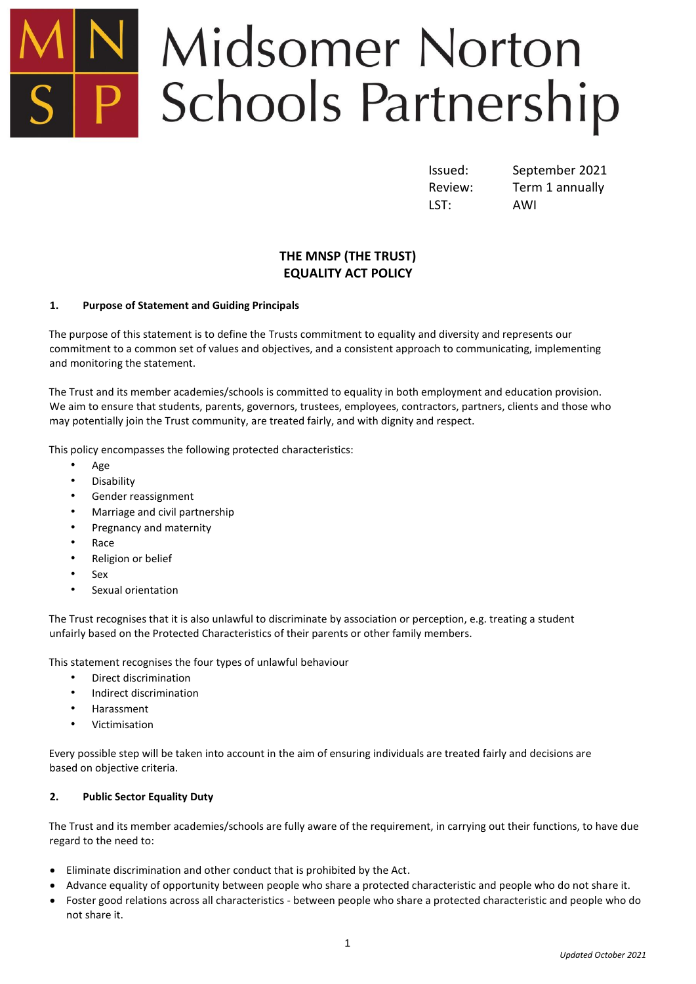# Midsomer Norton Schools Partnership

LST: AWI

Issued: September 2021 Review: Term 1 annually

# **THE MNSP (THE TRUST) EQUALITY ACT POLICY**

# **1. Purpose of Statement and Guiding Principals**

The purpose of this statement is to define the Trusts commitment to equality and diversity and represents our commitment to a common set of values and objectives, and a consistent approach to communicating, implementing and monitoring the statement.

The Trust and its member academies/schools is committed to equality in both employment and education provision. We aim to ensure that students, parents, governors, trustees, employees, contractors, partners, clients and those who may potentially join the Trust community, are treated fairly, and with dignity and respect.

This policy encompasses the following protected characteristics:

- Age
- Disability
- Gender reassignment
- Marriage and civil partnership
- Pregnancy and maternity
- Race
- Religion or belief
- Sex
- Sexual orientation

The Trust recognises that it is also unlawful to discriminate by association or perception, e.g. treating a student unfairly based on the Protected Characteristics of their parents or other family members.

This statement recognises the four types of unlawful behaviour

- Direct discrimination
- Indirect discrimination
- Harassment
- Victimisation

Every possible step will be taken into account in the aim of ensuring individuals are treated fairly and decisions are based on objective criteria.

# **2. Public Sector Equality Duty**

The Trust and its member academies/schools are fully aware of the requirement, in carrying out their functions, to have due regard to the need to:

- Eliminate discrimination and other conduct that is prohibited by the Act.
- Advance equality of opportunity between people who share a protected characteristic and people who do not share it.
- Foster good relations across all characteristics between people who share a protected characteristic and people who do not share it.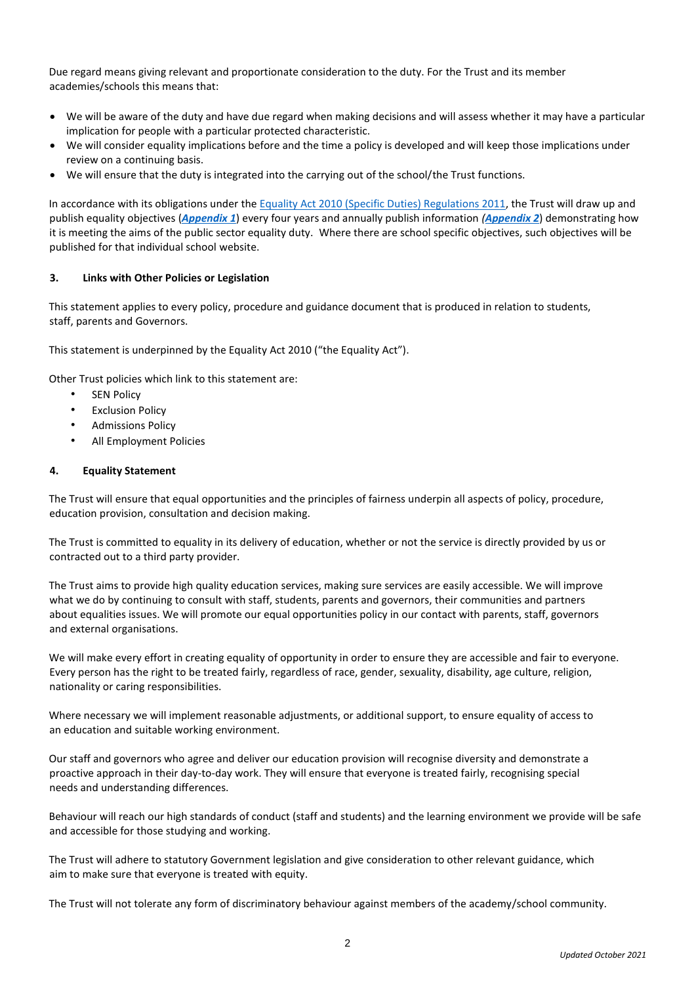Due regard means giving relevant and proportionate consideration to the duty. For the Trust and its member academies/schools this means that:

- We will be aware of the duty and have due regard when making decisions and will assess whether it may have a particular implication for people with a particular protected characteristic.
- We will consider equality implications before and the time a policy is developed and will keep those implications under review on a continuing basis.
- We will ensure that the duty is integrated into the carrying out of the school/the Trust functions.

In accordance with its obligations under the [Equality Act 2010 \(Specific Duties\) Regulations 2011,](https://www.gov.uk/government/publications/the-equality-act-2010-specific-duties-regulations-2011) the Trust will draw up and publish equality objectives (*[Appendix 1](#page-3-0)*) every four years and annually publish information *([Appendix 2](#page-4-0)*) demonstrating how it is meeting the aims of the public sector equality duty. Where there are school specific objectives, such objectives will be published for that individual school website.

# **3. Links with Other Policies or Legislation**

This statement applies to every policy, procedure and guidance document that is produced in relation to students, staff, parents and Governors.

This statement is underpinned by the Equality Act 2010 ("the Equality Act").

Other Trust policies which link to this statement are:

- **SEN Policy**
- **Exclusion Policy**
- Admissions Policy
- All Employment Policies

# **4. Equality Statement**

The Trust will ensure that equal opportunities and the principles of fairness underpin all aspects of policy, procedure, education provision, consultation and decision making.

The Trust is committed to equality in its delivery of education, whether or not the service is directly provided by us or contracted out to a third party provider.

The Trust aims to provide high quality education services, making sure services are easily accessible. We will improve what we do by continuing to consult with staff, students, parents and governors, their communities and partners about equalities issues. We will promote our equal opportunities policy in our contact with parents, staff, governors and external organisations.

We will make every effort in creating equality of opportunity in order to ensure they are accessible and fair to everyone. Every person has the right to be treated fairly, regardless of race, gender, sexuality, disability, age culture, religion, nationality or caring responsibilities.

Where necessary we will implement reasonable adjustments, or additional support, to ensure equality of access to an education and suitable working environment.

Our staff and governors who agree and deliver our education provision will recognise diversity and demonstrate a proactive approach in their day-to-day work. They will ensure that everyone is treated fairly, recognising special needs and understanding differences.

Behaviour will reach our high standards of conduct (staff and students) and the learning environment we provide will be safe and accessible for those studying and working.

The Trust will adhere to statutory Government legislation and give consideration to other relevant guidance, which aim to make sure that everyone is treated with equity.

The Trust will not tolerate any form of discriminatory behaviour against members of the academy/school community.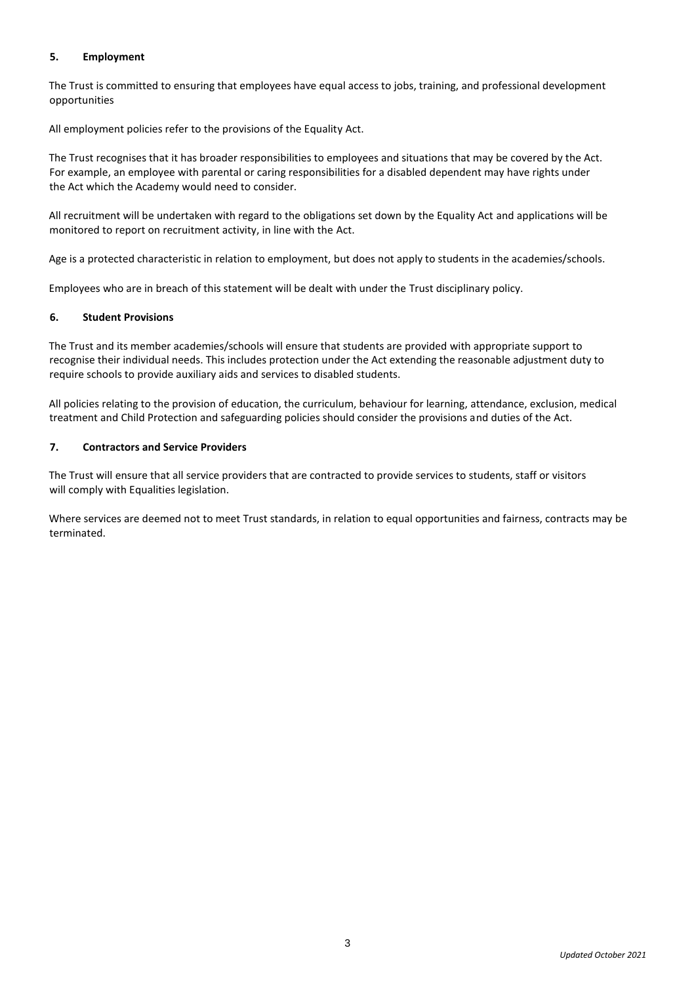# **5. Employment**

The Trust is committed to ensuring that employees have equal access to jobs, training, and professional development opportunities

All employment policies refer to the provisions of the Equality Act.

The Trust recognises that it has broader responsibilities to employees and situations that may be covered by the Act. For example, an employee with parental or caring responsibilities for a disabled dependent may have rights under the Act which the Academy would need to consider.

All recruitment will be undertaken with regard to the obligations set down by the Equality Act and applications will be monitored to report on recruitment activity, in line with the Act.

Age is a protected characteristic in relation to employment, but does not apply to students in the academies/schools.

Employees who are in breach of this statement will be dealt with under the Trust disciplinary policy.

# **6. Student Provisions**

The Trust and its member academies/schools will ensure that students are provided with appropriate support to recognise their individual needs. This includes protection under the Act extending the reasonable adjustment duty to require schools to provide auxiliary aids and services to disabled students.

All policies relating to the provision of education, the curriculum, behaviour for learning, attendance, exclusion, medical treatment and Child Protection and safeguarding policies should consider the provisions and duties of the Act.

# **7. Contractors and Service Providers**

The Trust will ensure that all service providers that are contracted to provide services to students, staff or visitors will comply with Equalities legislation.

Where services are deemed not to meet Trust standards, in relation to equal opportunities and fairness, contracts may be terminated.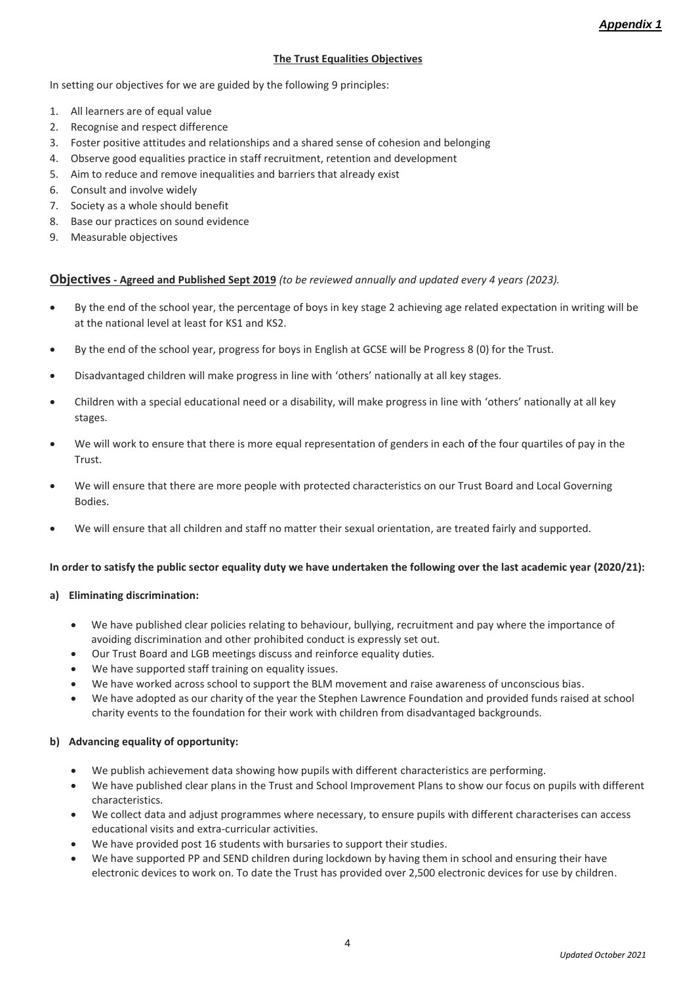# <span id="page-3-0"></span>**The Trust Equalities Objectives**

In setting our objectives for we are guided by the following 9 principles:

- 1. All learners are of equal value
- 2. Recognise and respect difference
- 3. Foster positive attitudes and relationships and a shared sense of cohesion and belonging
- 4. Observe good equalities practice in staff recruitment, retention and development
- 5. Aim to reduce and remove inequalities and barriers that already exist
- 6. Consult and involve widely
- 7. Society as a whole should benefit
- 8. Base our practices on sound evidence
- 9. Measurable objectives

# **Objectives- Agreed and Published Sept 2019** *(to be reviewed annually and updated every 4 years (2023).*

- By the end of the school year, the percentage of boys in key stage 2 achieving age related expectation in writing will be at the national level at least for KS1 and KS2.
- By the end of the school year, progress for boys in English at GCSE will be Progress 8 (0) for the Trust.
- Disadvantaged children will make progress in line with 'others' nationally at all key stages.
- Children with a special educational need or a disability, will make progress in line with 'others' nationally at all key stages.
- We will work to ensure that there is more equal representation of genders in each of the four quartiles of pay in the Trust.
- We will ensure that there are more people with protected characteristics on our Trust Board and Local Governing Bodies.
- We will ensure that all children and staff no matter their sexual orientation, are treated fairly and supported.

# **In order to satisfy the public sector equality duty we have undertaken the following over the last academic year (2020/21):**

# **a) Eliminating discrimination:**

- We have published clear policies relating to behaviour, bullying, recruitment and pay where the importance of avoiding discrimination and other prohibited conduct is expressly set out.
- Our Trust Board and LGB meetings discuss and reinforce equality duties.
- We have supported staff training on equality issues.
- We have worked across school to support the BLM movement and raise awareness of unconscious bias.
- We have adopted as our charity of the year the Stephen Lawrence Foundation and provided funds raised at school charity events to the foundation for their work with children from disadvantaged backgrounds.

# **b) Advancing equality of opportunity:**

- We publish achievement data showing how pupils with different characteristics are performing.
- We have published clear plans in the Trust and School Improvement Plans to show our focus on pupils with different characteristics.
- We collect data and adjust programmes where necessary, to ensure pupils with different characterises can access educational visits and extra-curricular activities.
- We have provided post 16 students with bursaries to support their studies.
- We have supported PP and SEND children during lockdown by having them in school and ensuring their have electronic devices to work on. To date the Trust has provided over 2,500 electronic devices for use by children.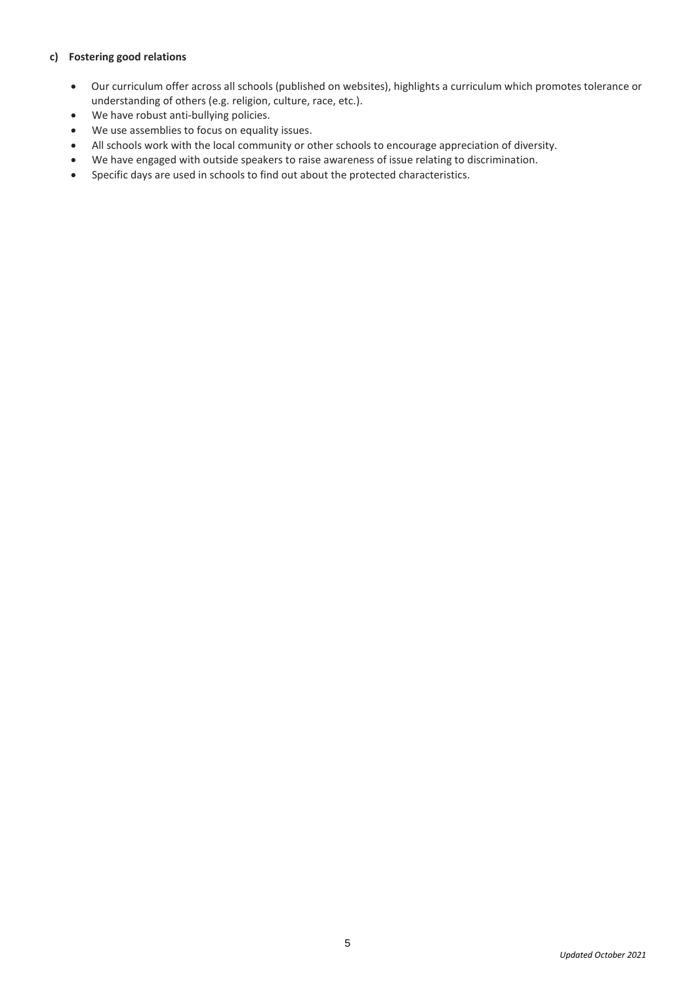# **c) Fostering good relations**

- Our curriculum offer across all schools (published on websites), highlights a curriculum which promotes tolerance or understanding of others (e.g. religion, culture, race, etc.).
- We have robust anti-bullying policies.
- We use assemblies to focus on equality issues.
- All schools work with the local community or other schools to encourage appreciation of diversity.
- We have engaged with outside speakers to raise awareness of issue relating to discrimination.
- <span id="page-4-0"></span>Specific days are used in schools to find out about the protected characteristics.